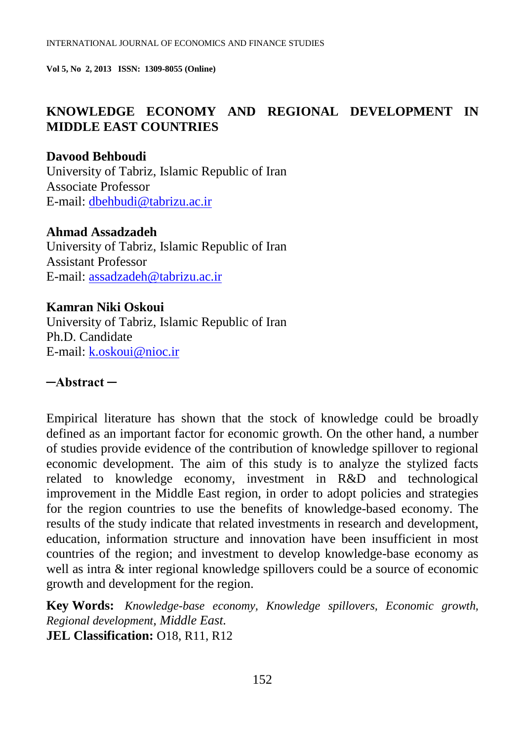# **KNOWLEDGE ECONOMY AND REGIONAL DEVELOPMENT IN MIDDLE EAST COUNTRIES**

### **Davood Behboudi** University of Tabriz, Islamic Republic of Iran Associate Professor E-mail: [dbehbudi@tabrizu.ac.ir](mailto:dbehbudi@tabrizu.ac.ir)

### **Ahmad Assadzadeh**

University of Tabriz, Islamic Republic of Iran Assistant Professor E-mail: assadzadeh@tabrizu.ac.ir

### **Kamran Niki Oskoui**

University of Tabriz, Islamic Republic of Iran Ph.D. Candidate E-mail: [k.oskoui@nioc.ir](mailto:k.oskoui@nioc.ir)

# **─Abstract ─**

Empirical literature has shown that the stock of knowledge could be broadly defined as an important factor for economic growth. On the other hand, a number of studies provide evidence of the contribution of knowledge spillover to regional economic development. The aim of this study is to analyze the stylized facts related to knowledge economy, investment in R&D and technological improvement in the Middle East region, in order to adopt policies and strategies for the region countries to use the benefits of knowledge-based economy. The results of the study indicate that related investments in research and development, education, information structure and innovation have been insufficient in most countries of the region; and investment to develop knowledge-base economy as well as intra  $\&$  inter regional knowledge spillovers could be a source of economic growth and development for the region.

**Key Words:** *Knowledge-base economy, Knowledge spillovers, Economic growth, Regional development, Middle East.* **JEL Classification:** O18, R11, R12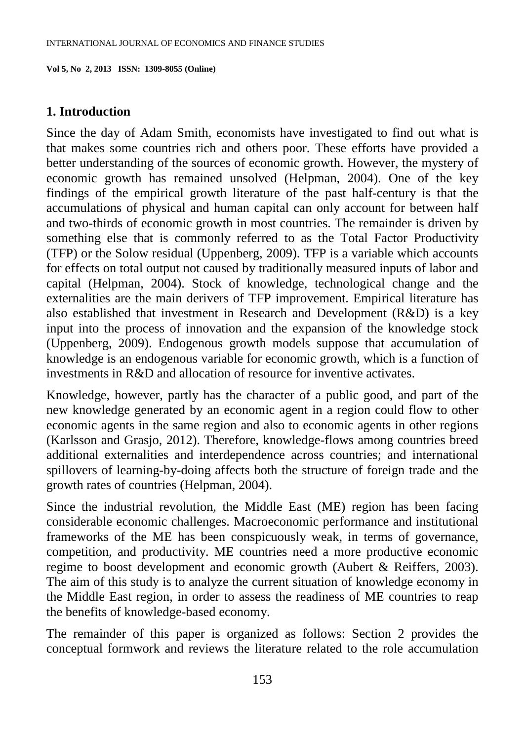#### **1. Introduction**

Since the day of Adam Smith, economists have investigated to find out what is that makes some countries rich and others poor. These efforts have provided a better understanding of the sources of economic growth. However, the mystery of economic growth has remained unsolved (Helpman, 2004). One of the key findings of the empirical growth literature of the past half-century is that the accumulations of physical and human capital can only account for between half and two-thirds of economic growth in most countries. The remainder is driven by something else that is commonly referred to as the Total Factor Productivity (TFP) or the [Solow residual](http://en.wikipedia.org/wiki/Solow_residual) (Uppenberg, 2009). TFP is a variable which accounts for effects on total [output](http://en.wikipedia.org/wiki/Output_%28economics%29) not caused by traditionally measured inputs of labor and capital (Helpman, 2004). Stock of knowledge, technological change and the externalities are the main derivers of TFP improvement. Empirical literature has also established that investment in Research and Development (R&D) is a key input into the process of innovation and the expansion of the knowledge stock (Uppenberg, 2009). Endogenous growth models suppose that accumulation of knowledge is an endogenous variable for economic growth, which is a function of investments in R&D and allocation of resource for inventive activates.

Knowledge, however, partly has the character of a public good, and part of the new knowledge generated by an economic agent in a region could flow to other economic agents in the same region and also to economic agents in other regions (Karlsson and Grasjo, 2012). Therefore, knowledge-flows among countries breed additional externalities and interdependence across countries; and international spillovers of learning-by-doing affects both the structure of foreign trade and the growth rates of countries (Helpman, 2004).

Since the industrial revolution, the Middle East (ME) region has been facing considerable economic challenges. Macroeconomic performance and institutional frameworks of the ME has been conspicuously weak, in terms of governance, competition, and productivity. ME countries need a more productive economic regime to boost development and economic growth (Aubert & Reiffers, 2003). The aim of this study is to analyze the current situation of knowledge economy in the Middle East region, in order to assess the readiness of ME countries to reap the benefits of knowledge-based economy.

The remainder of this paper is organized as follows: Section 2 provides the conceptual formwork and reviews the literature related to the role accumulation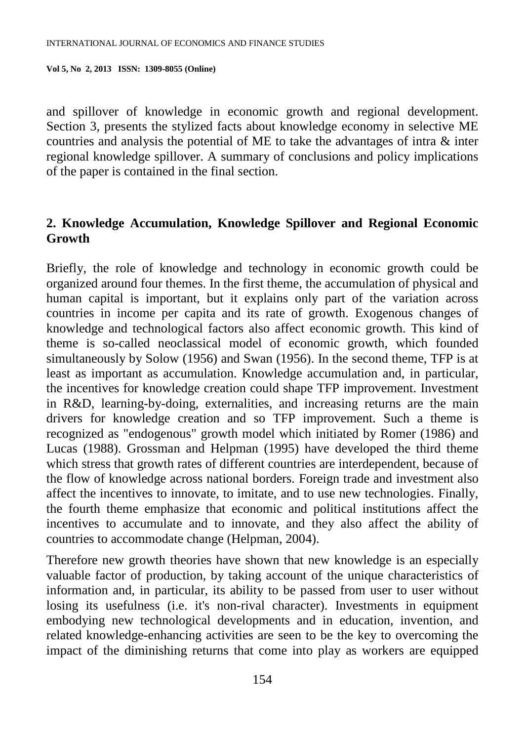and spillover of knowledge in economic growth and regional development. Section 3, presents the stylized facts about knowledge economy in selective ME countries and analysis the potential of ME to take the advantages of intra & inter regional knowledge spillover. A summary of conclusions and policy implications of the paper is contained in the final section.

# **2. Knowledge Accumulation, Knowledge Spillover and Regional Economic Growth**

Briefly, the role of knowledge and technology in economic growth could be organized around four themes. In the first theme, the accumulation of physical and human capital is important, but it explains only part of the variation across countries in income per capita and its rate of growth. Exogenous changes of knowledge and technological factors also affect economic growth. This kind of theme is so-called neoclassical model of economic growth, which founded simultaneously by Solow (1956) and Swan (1956). In the second theme, TFP is at least as important as accumulation. Knowledge accumulation and, in particular, the incentives for knowledge creation could shape TFP improvement. Investment in R&D, learning-by-doing, externalities, and increasing returns are the main drivers for knowledge creation and so TFP improvement. Such a theme is recognized as "endogenous" growth model which initiated by Romer (1986) and Lucas (1988). Grossman and Helpman (1995) have developed the third theme which stress that growth rates of different countries are interdependent, because of the flow of knowledge across national borders. Foreign trade and investment also affect the incentives to innovate, to imitate, and to use new technologies. Finally, the fourth theme emphasize that economic and political institutions affect the incentives to accumulate and to innovate, and they also affect the ability of countries to accommodate change (Helpman, 2004).

Therefore new growth theories have shown that new knowledge is an especially valuable factor of production, by taking account of the unique characteristics of information and, in particular, its ability to be passed from user to user without losing its usefulness (i.e. it's non-rival character). Investments in equipment embodying new technological developments and in education, invention, and related knowledge-enhancing activities are seen to be the key to overcoming the impact of the diminishing returns that come into play as workers are equipped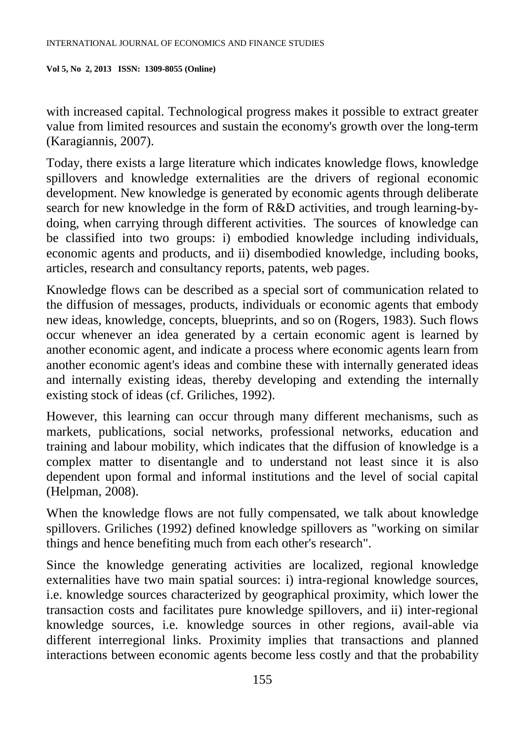with increased capital. Technological progress makes it possible to extract greater value from limited resources and sustain the economy's growth over the long-term (Karagiannis, 2007).

Today, there exists a large literature which indicates knowledge flows, knowledge spillovers and knowledge externalities are the drivers of regional economic development. New knowledge is generated by economic agents through deliberate search for new knowledge in the form of R&D activities, and trough learning-bydoing, when carrying through different activities. The sources of knowledge can be classified into two groups: i) embodied knowledge including individuals, economic agents and products, and ii) disembodied knowledge, including books, articles, research and consultancy reports, patents, web pages.

Knowledge flows can be described as a special sort of communication related to the diffusion of messages, products, individuals or economic agents that embody new ideas, knowledge, concepts, blueprints, and so on (Rogers, 1983). Such flows occur whenever an idea generated by a certain economic agent is learned by another economic agent, and indicate a process where economic agents learn from another economic agent's ideas and combine these with internally generated ideas and internally existing ideas, thereby developing and extending the internally existing stock of ideas (cf. Griliches, 1992).

However, this learning can occur through many different mechanisms, such as markets, publications, social networks, professional networks, education and training and labour mobility, which indicates that the diffusion of knowledge is a complex matter to disentangle and to understand not least since it is also dependent upon formal and informal institutions and the level of social capital (Helpman, 2008).

When the knowledge flows are not fully compensated, we talk about knowledge spillovers. Griliches (1992) defined knowledge spillovers as "working on similar things and hence benefiting much from each other's research".

Since the knowledge generating activities are localized, regional knowledge externalities have two main spatial sources: i) intra-regional knowledge sources, i.e. knowledge sources characterized by geographical proximity, which lower the transaction costs and facilitates pure knowledge spillovers, and ii) inter-regional knowledge sources, i.e. knowledge sources in other regions, avail-able via different interregional links. Proximity implies that transactions and planned interactions between economic agents become less costly and that the probability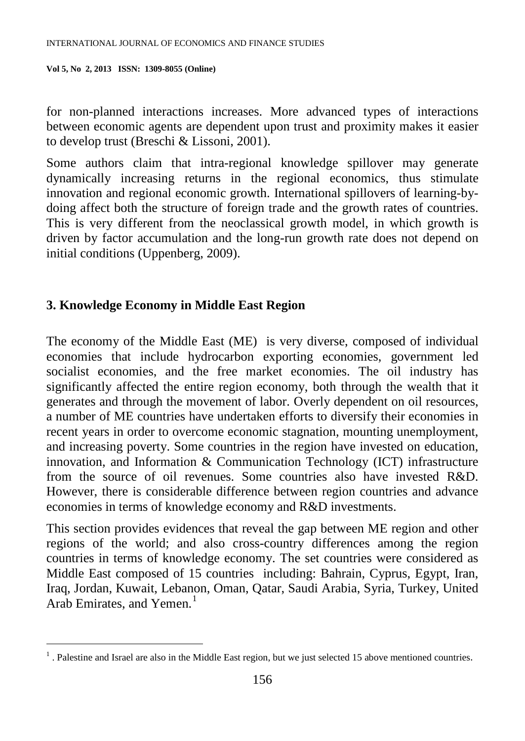for non-planned interactions increases. More advanced types of interactions between economic agents are dependent upon trust and proximity makes it easier to develop trust (Breschi & Lissoni, 2001).

Some authors claim that intra-regional knowledge spillover may generate dynamically increasing returns in the regional economics, thus stimulate innovation and regional economic growth. International spillovers of learning-bydoing affect both the structure of foreign trade and the growth rates of countries. This is very different from the neoclassical growth model, in which growth is driven by factor accumulation and the long-run growth rate does not depend on initial conditions (Uppenberg, 2009).

# **3. Knowledge Economy in Middle East Region**

 $\overline{a}$ 

The economy of the Middle East (ME) is very diverse, composed of individual economies that include [hydrocarbon](http://en.wikipedia.org/wiki/Hydrocarbon) exporting [economies,](http://en.wikipedia.org/wiki/Rentier_state) government led [socialist economies,](http://en.wikipedia.org/wiki/Socialist_economies) and the [free market](http://en.wikipedia.org/wiki/Free_market) economies. The oil industry has significantly affected the entire region economy, both through the wealth that it generates and through the movement of labor. Overly dependent on oil resources, a number of ME countries have undertaken efforts to diversify their economies in recent years in order to overcome economic stagnation, mounting unemployment, and increasing poverty. Some countries in the region have invested on education, innovation, and Information & Communication Technology (ICT) infrastructure from the source of oil revenues. Some countries also have invested R&D. However, there is considerable difference between region countries and advance economies in terms of knowledge economy and R&D investments.

This section provides evidences that reveal the gap between ME region and other regions of the world; and also cross-country differences among the region countries in terms of knowledge economy. The set countries were considered as Middle East composed of 15 countries including: [Bahrain,](http://en.wikipedia.org/wiki/Bahrain) [Cyprus,](http://en.wikipedia.org/wiki/Cyprus) [Egypt,](http://en.wikipedia.org/wiki/Egypt) [Iran,](http://en.wikipedia.org/wiki/Iran) [Iraq,](http://en.wikipedia.org/wiki/Iraq) [Jordan,](http://en.wikipedia.org/wiki/Jordan) [Kuwait,](http://en.wikipedia.org/wiki/Kuwait) [Lebanon,](http://en.wikipedia.org/wiki/Lebanon) Oman, [Qatar,](http://en.wikipedia.org/wiki/Qatar) [Saudi Arabia,](http://en.wikipedia.org/wiki/Saudi_Arabia) [Syria,](http://en.wikipedia.org/wiki/Syria) [Turkey,](http://en.wikipedia.org/wiki/Turkey) [United](http://en.wikipedia.org/wiki/United_Arab_Emirates)  [Arab Emirates,](http://en.wikipedia.org/wiki/United_Arab_Emirates) and [Yemen.](http://en.wikipedia.org/wiki/Yemen) [1](#page-4-0)

<span id="page-4-0"></span> $<sup>1</sup>$ . Palestine and Israel are also in the Middle East region, but we just selected 15 above mentioned countries.</sup>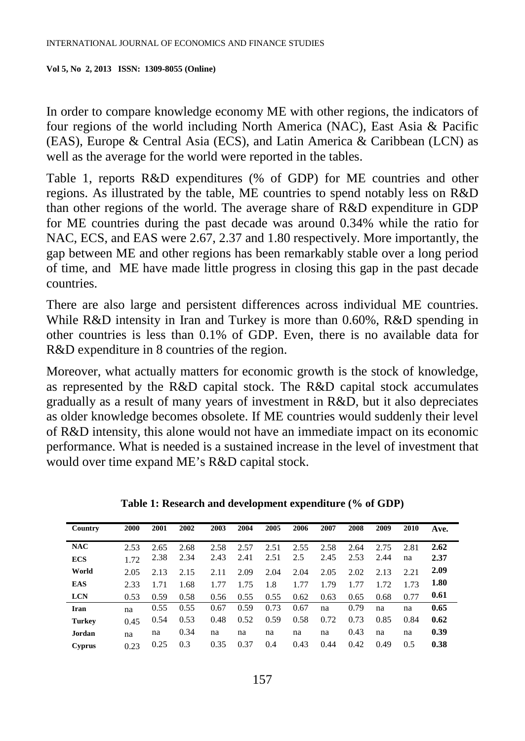In order to compare knowledge economy ME with other regions, the indicators of four regions of the world including North America (NAC), East Asia & Pacific (EAS), Europe & Central Asia (ECS), and Latin America & Caribbean (LCN) as well as the average for the world were reported in the tables.

Table 1, reports R&D expenditures (% of GDP) for ME countries and other regions. As illustrated by the table, ME countries to spend notably less on R&D than other regions of the world. The average share of R&D expenditure in GDP for ME countries during the past decade was around 0.34% while the ratio for NAC, ECS, and EAS were 2.67, 2.37 and 1.80 respectively. More importantly, the gap between ME and other regions has been remarkably stable over a long period of time, and ME have made little progress in closing this gap in the past decade countries.

There are also large and persistent differences across individual ME countries. While R&D intensity in Iran and Turkey is more than 0.60%, R&D spending in other countries is less than 0.1% of GDP. Even, there is no available data for R&D expenditure in 8 countries of the region.

Moreover, what actually matters for economic growth is the stock of knowledge, as represented by the R&D capital stock. The R&D capital stock accumulates gradually as a result of many years of investment in R&D, but it also depreciates as older knowledge becomes obsolete. If ME countries would suddenly their level of R&D intensity, this alone would not have an immediate impact on its economic performance. What is needed is a sustained increase in the level of investment that would over time expand ME's R&D capital stock.

| Country       | 2000 | 2001 | 2002 | 2003 | 2004 | 2005 | 2006 | 2007 | 2008 | 2009 | 2010 | Ave. |
|---------------|------|------|------|------|------|------|------|------|------|------|------|------|
|               |      |      |      |      |      |      |      |      |      |      |      |      |
| <b>NAC</b>    | 2.53 | 2.65 | 2.68 | 2.58 | 2.57 | 2.51 | 2.55 | 2.58 | 2.64 | 2.75 | 2.81 | 2.62 |
| <b>ECS</b>    | 1.72 | 2.38 | 2.34 | 2.43 | 2.41 | 2.51 | 2.5  | 2.45 | 2.53 | 2.44 | na   | 2.37 |
| World         | 2.05 | 2.13 | 2.15 | 2.11 | 2.09 | 2.04 | 2.04 | 2.05 | 2.02 | 2.13 | 2.21 | 2.09 |
| <b>EAS</b>    | 2.33 | 1.71 | 1.68 | 1.77 | 1.75 | 1.8  | 1.77 | 1.79 | 1.77 | 1.72 | 1.73 | 1.80 |
| <b>LCN</b>    | 0.53 | 0.59 | 0.58 | 0.56 | 0.55 | 0.55 | 0.62 | 0.63 | 0.65 | 0.68 | 0.77 | 0.61 |
| Iran          | na   | 0.55 | 0.55 | 0.67 | 0.59 | 0.73 | 0.67 | na   | 0.79 | na   | na   | 0.65 |
| <b>Turkey</b> | 0.45 | 0.54 | 0.53 | 0.48 | 0.52 | 0.59 | 0.58 | 0.72 | 0.73 | 0.85 | 0.84 | 0.62 |
| Jordan        | na   | na   | 0.34 | na   | na   | na   | na   | na   | 0.43 | na   | na   | 0.39 |
| <b>Cyprus</b> | 0.23 | 0.25 | 0.3  | 0.35 | 0.37 | 0.4  | 0.43 | 0.44 | 0.42 | 0.49 | 0.5  | 0.38 |

**Table 1: Research and development expenditure (% of GDP)**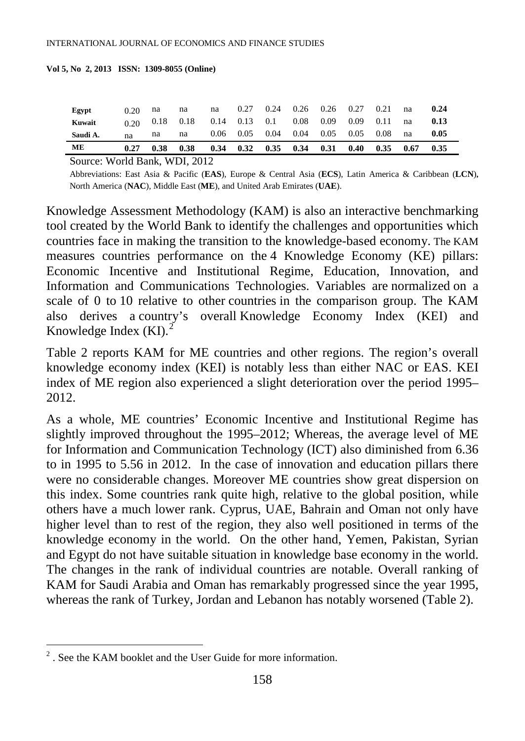| Egypt    | 0.20  | na   | na          | na   | 0.27 |                     | $0.24$ $0.26$ $0.26$ $0.27$ |             |                   | 0.21        | na | 0.24 |
|----------|-------|------|-------------|------|------|---------------------|-----------------------------|-------------|-------------------|-------------|----|------|
| Kuwait   | 0.20. |      | $0.18$ 0.18 |      |      | $0.14$ $0.13$ $0.1$ | 0.08                        | $0.09$ 0.09 |                   | 0.11        | na | 0.13 |
| Saudi A. | na    | na   | na          |      |      |                     | $0.06$ $0.05$ $0.04$ $0.04$ |             | $0.05$ 0.05 0.08  |             | na | 0.05 |
| ME       | 0.27  | 0.38 | 0.38        | 0.34 |      |                     | $0.32$ $0.35$ $0.34$        |             | $0.31 \quad 0.40$ | $0.35$ 0.67 |    | 0.35 |

Source: World Bank, WDI, 2012

Abbreviations: East Asia & Pacific (**EAS**), Europe & Central Asia (**ECS**), Latin America & Caribbean (**LCN**)**,**  North America (**NAC**), Middle East (**ME**), and United Arab Emirates (**UAE**).

Knowledge Assessment Methodology (KAM) is also an interactive benchmarking tool created by the World Bank to identify the challenges and opportunities which countries face in making the transition to the knowledge-based economy. The KAM measures countries performance on the 4 Knowledge Economy (KE) pillars: Economic Incentive and Institutional Regime, Education, Innovation, and Information and Communications Technologies. Variables are [normalized](http://web.worldbank.org/WBSITE/EXTERNAL/WBI/WBIPROGRAMS/KFDLP/EXTUNIKAM/0,,contentMDK:20584281%7EmenuPK:1433234%7EpagePK:64168445%7EpiPK:64168309%7EtheSitePK:1414721,00.html) on a scale of 0 to 10 relative to other countries in the comparison group. The KAM also derives a country's overall [Knowledge Economy Index \(KEI\) and](http://info.worldbank.org/etools/kam2/KAM_page5.asp)  [Knowledge Index \(KI\).](http://info.worldbank.org/etools/kam2/KAM_page5.asp)<sup>[2](#page-6-0)</sup>

Table 2 reports KAM for ME countries and other regions. The region's overall knowledge economy index (KEI) is notably less than either NAC or EAS. KEI index of ME region also experienced a slight deterioration over the period 1995– 2012.

As a whole, ME countries' Economic Incentive and Institutional Regime has slightly improved throughout the 1995–2012; Whereas, the average level of ME for Information and Communication Technology (ICT) also diminished from 6.36 to in 1995 to 5.56 in 2012. In the case of innovation and education pillars there were no considerable changes. Moreover ME countries show great dispersion on this index. Some countries rank quite high, relative to the global position, while others have a much lower rank. Cyprus, UAE, Bahrain and Oman not only have higher level than to rest of the region, they also well positioned in terms of the knowledge economy in the world. On the other hand, Yemen, Pakistan, Syrian and Egypt do not have suitable situation in knowledge base economy in the world. The changes in the rank of individual countries are notable. Overall ranking of KAM for Saudi Arabia and Oman has remarkably progressed since the year 1995, whereas the rank of Turkey, Jordan and Lebanon has notably worsened (Table 2).

 $\overline{a}$ 

<span id="page-6-0"></span> $2^2$ . See the [KAM booklet](http://siteresources.worldbank.org/INTUNIKAM/Resources/KAMbooklet.pdf) and the [User Guide](http://web.worldbank.org/WBSITE/EXTERNAL/WBI/WBIPROGRAMS/KFDLP/EXTUNIKAM/0,,contentMDK:20584268%7EmenuPK:1433162%7EpagePK:64168445%7EpiPK:64168309%7EtheSitePK:1414721,00.html) for more information.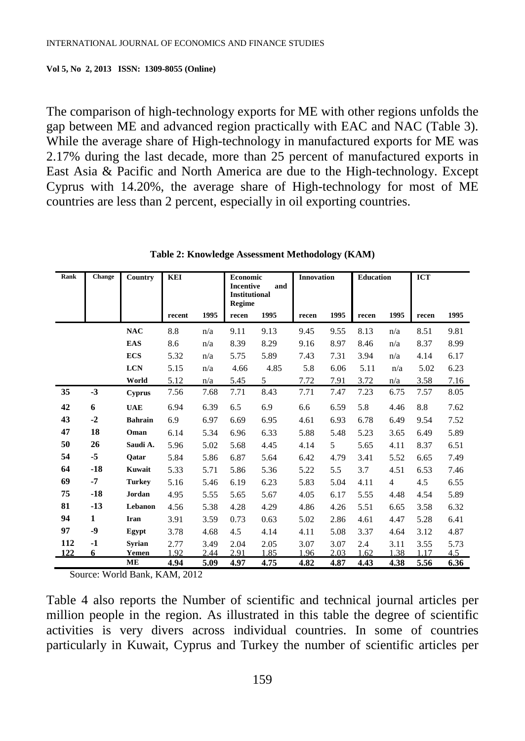The comparison of high-technology exports for ME with other regions unfolds the gap between ME and advanced region practically with EAC and NAC (Table 3). While the average share of High-technology in manufactured exports for ME was 2.17% during the last decade, more than 25 percent of manufactured exports in East Asia & Pacific and North America are due to the High-technology. Except Cyprus with 14.20%, the average share of High-technology for most of ME countries are less than 2 percent, especially in oil exporting countries.

| Rank | <b>Change</b> | Country        | <b>KEI</b> |      |                                | <b>Economic</b><br><b>Incentive</b><br>and |       | <b>Innovation</b> | <b>Education</b> |                | <b>ICT</b> |      |
|------|---------------|----------------|------------|------|--------------------------------|--------------------------------------------|-------|-------------------|------------------|----------------|------------|------|
|      |               |                |            |      | <b>Institutional</b><br>Regime |                                            |       |                   |                  |                |            |      |
|      |               |                | recent     | 1995 | recen                          | 1995                                       | recen | 1995              | recen            | 1995           | recen      | 1995 |
|      |               | <b>NAC</b>     | 8.8        | n/a  | 9.11                           | 9.13                                       | 9.45  | 9.55              | 8.13             | n/a            | 8.51       | 9.81 |
|      |               | <b>EAS</b>     | 8.6        | n/a  | 8.39                           | 8.29                                       | 9.16  | 8.97              | 8.46             | n/a            | 8.37       | 8.99 |
|      |               | <b>ECS</b>     | 5.32       | n/a  | 5.75                           | 5.89                                       | 7.43  | 7.31              | 3.94             | n/a            | 4.14       | 6.17 |
|      |               | <b>LCN</b>     | 5.15       | n/a  | 4.66                           | 4.85                                       | 5.8   | 6.06              | 5.11             | n/a            | 5.02       | 6.23 |
|      |               | World          | 5.12       | n/a  | 5.45                           | 5                                          | 7.72  | 7.91              | 3.72             | n/a            | 3.58       | 7.16 |
| 35   | $-3$          | <b>Cyprus</b>  | 7.56       | 7.68 | 7.71                           | 8.43                                       | 7.71  | 7.47              | 7.23             | 6.75           | 7.57       | 8.05 |
| 42   | 6             | <b>UAE</b>     | 6.94       | 6.39 | 6.5                            | 6.9                                        | 6.6   | 6.59              | 5.8              | 4.46           | 8.8        | 7.62 |
| 43   | $-2$          | <b>Bahrain</b> | 6.9        | 6.97 | 6.69                           | 6.95                                       | 4.61  | 6.93              | 6.78             | 6.49           | 9.54       | 7.52 |
| 47   | 18            | Oman           | 6.14       | 5.34 | 6.96                           | 6.33                                       | 5.88  | 5.48              | 5.23             | 3.65           | 6.49       | 5.89 |
| 50   | 26            | Saudi A.       | 5.96       | 5.02 | 5.68                           | 4.45                                       | 4.14  | 5                 | 5.65             | 4.11           | 8.37       | 6.51 |
| 54   | $-5$          | Oatar          | 5.84       | 5.86 | 6.87                           | 5.64                                       | 6.42  | 4.79              | 3.41             | 5.52           | 6.65       | 7.49 |
| 64   | $-18$         | Kuwait         | 5.33       | 5.71 | 5.86                           | 5.36                                       | 5.22  | 5.5               | 3.7              | 4.51           | 6.53       | 7.46 |
| 69   | $-7$          | <b>Turkey</b>  | 5.16       | 5.46 | 6.19                           | 6.23                                       | 5.83  | 5.04              | 4.11             | $\overline{4}$ | 4.5        | 6.55 |
| 75   | $-18$         | Jordan         | 4.95       | 5.55 | 5.65                           | 5.67                                       | 4.05  | 6.17              | 5.55             | 4.48           | 4.54       | 5.89 |
| 81   | $-13$         | Lebanon        | 4.56       | 5.38 | 4.28                           | 4.29                                       | 4.86  | 4.26              | 5.51             | 6.65           | 3.58       | 6.32 |
| 94   | $\mathbf{1}$  | Iran           | 3.91       | 3.59 | 0.73                           | 0.63                                       | 5.02  | 2.86              | 4.61             | 4.47           | 5.28       | 6.41 |
| 97   | -9            | Egypt          | 3.78       | 4.68 | 4.5                            | 4.14                                       | 4.11  | 5.08              | 3.37             | 4.64           | 3.12       | 4.87 |
| 112  | $-1$          | <b>Syrian</b>  | 2.77       | 3.49 | 2.04                           | 2.05                                       | 3.07  | 3.07              | 2.4              | 3.11           | 3.55       | 5.73 |
| 122  | 6             | Yemen          | 1.92       | 2.44 | 2.91                           | 1.85                                       | 1.96  | 2.03              | 1.62             | 1.38           | 1.17       | 4.5  |
|      |               | <b>ME</b>      | 4.94       | 5.09 | 4.97                           | 4.75                                       | 4.82  | 4.87              | 4.43             | 4.38           | 5.56       | 6.36 |

**Table 2: Knowledge Assessment Methodology (KAM)**

Source: World Bank, KAM, 2012

Table 4 also reports the Number of scientific and technical journal articles per million people in the region. As illustrated in this table the degree of scientific activities is very divers across individual countries. In some of countries particularly in Kuwait, Cyprus and Turkey the number of scientific articles per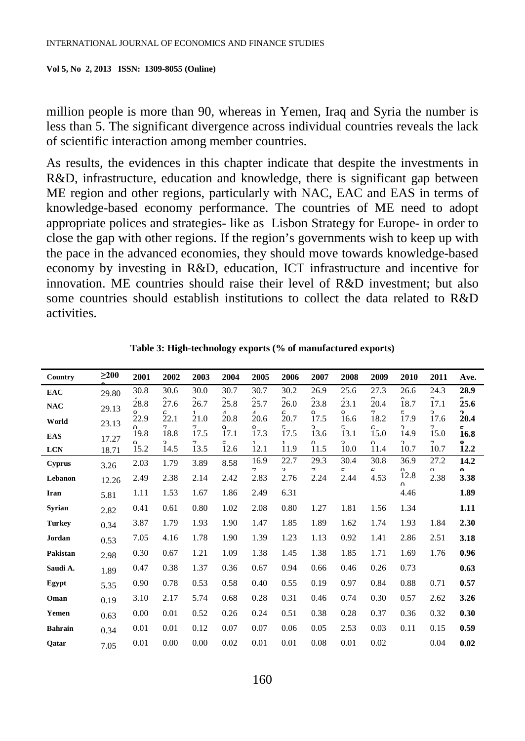million people is more than 90, whereas in Yemen, Iraq and Syria the number is less than 5. The significant divergence across individual countries reveals the lack of scientific interaction among member countries.

As results, the evidences in this chapter indicate that despite the investments in R&D, infrastructure, education and knowledge, there is significant gap between ME region and other regions, particularly with NAC, EAC and EAS in terms of knowledge-based economy performance. The countries of ME need to adopt appropriate polices and strategies- like as Lisbon Strategy for Europe- in order to close the gap with other regions. If the region's governments wish to keep up with the pace in the advanced economies, they should move towards knowledge-based economy by investing in R&D, education, ICT infrastructure and incentive for innovation. ME countries should raise their level of R&D investment; but also some countries should establish institutions to collect the data related to R&D activities.

| Country        | $\geq$ 200 | 2001             | 2002                 | 2003      | 2004                   | 2005                   | 2006                  | 2007             | 2008                            | 2009             | 2010                  | 2011                   | Ave.                 |
|----------------|------------|------------------|----------------------|-----------|------------------------|------------------------|-----------------------|------------------|---------------------------------|------------------|-----------------------|------------------------|----------------------|
| <b>EAC</b>     | 29.80      | 30.8             | 30.6                 | 30.0      | 30.7                   | 30.7                   | 30.2                  | 26.9             | 25.6                            | 27.3             | 26.6                  | 24.3                   | 28.9                 |
| <b>NAC</b>     | 29.13      | 28.8<br>$\circ$  | 27.6<br>L            | 26.7<br>1 | 25.8<br>$\overline{A}$ | 25.7<br>$\overline{A}$ | 26.0<br>F             | 23.8<br>Ω        | 23.1<br>Q                       | 20.4<br>7        | 18.7<br>5             | 17.1<br>$\overline{a}$ | 25.6<br>◠            |
| World          | 23.13      | 22.9             | 22.1                 | 21.0      | 20.8                   | 20.6                   | 20.7                  | 17.5             | 16.6                            | 18.2             | 17.9                  | 17.6                   | 20.4                 |
| <b>EAS</b>     | 17.27      | $\Omega$<br>19.8 | $\tau$<br>18.8       | 7<br>17.5 | $\Omega$<br>17.1       | Q<br>17.3              | 5<br>17.5             | 2<br>13.6        | 5<br>13.1                       | F<br>15.0        | $\mathcal{L}$<br>14.9 | 7<br>15.0              | E<br>16.8            |
| <b>LCN</b>     | 18.71      | $\Omega$<br>15.2 | $\mathbf{r}$<br>14.5 | 7<br>13.5 | 5<br>12.6              | 1<br>12.1              | 1<br>11.9             | $\Omega$<br>11.5 | $\overline{\mathbf{a}}$<br>10.0 | $\Omega$<br>11.4 | $\mathcal{L}$<br>10.7 | $\tau$<br>10.7         | Q<br>12.2            |
| <b>Cyprus</b>  | 3.26       | 2.03             | 1.79                 | 3.89      | 8.58                   | 16.9<br>7              | 22.7<br>$\mathcal{L}$ | 29.3<br>7        | 30.4<br>$\epsilon$              | 30.8<br>c        | 36.9<br>$\Omega$      | 27.2<br>$\Omega$       | 14.2<br>$\mathbf{v}$ |
| Lebanon        | 12.26      | 2.49             | 2.38                 | 2.14      | 2.42                   | 2.83                   | 2.76                  | 2.24             | 2.44                            | 4.53             | 12.8<br>$\Omega$      | 2.38                   | 3.38                 |
| Iran           | 5.81       | 1.11             | 1.53                 | 1.67      | 1.86                   | 2.49                   | 6.31                  |                  |                                 |                  | 4.46                  |                        | 1.89                 |
| Syrian         | 2.82       | 0.41             | 0.61                 | 0.80      | 1.02                   | 2.08                   | 0.80                  | 1.27             | 1.81                            | 1.56             | 1.34                  |                        | 1.11                 |
| <b>Turkey</b>  | 0.34       | 3.87             | 1.79                 | 1.93      | 1.90                   | 1.47                   | 1.85                  | 1.89             | 1.62                            | 1.74             | 1.93                  | 1.84                   | 2.30                 |
| Jordan         | 0.53       | 7.05             | 4.16                 | 1.78      | 1.90                   | 1.39                   | 1.23                  | 1.13             | 0.92                            | 1.41             | 2.86                  | 2.51                   | 3.18                 |
| Pakistan       | 2.98       | 0.30             | 0.67                 | 1.21      | 1.09                   | 1.38                   | 1.45                  | 1.38             | 1.85                            | 1.71             | 1.69                  | 1.76                   | 0.96                 |
| Saudi A.       | 1.89       | 0.47             | 0.38                 | 1.37      | 0.36                   | 0.67                   | 0.94                  | 0.66             | 0.46                            | 0.26             | 0.73                  |                        | 0.63                 |
| Egypt          | 5.35       | 0.90             | 0.78                 | 0.53      | 0.58                   | 0.40                   | 0.55                  | 0.19             | 0.97                            | 0.84             | 0.88                  | 0.71                   | 0.57                 |
| Oman           | 0.19       | 3.10             | 2.17                 | 5.74      | 0.68                   | 0.28                   | 0.31                  | 0.46             | 0.74                            | 0.30             | 0.57                  | 2.62                   | 3.26                 |
| Yemen          | 0.63       | 0.00             | 0.01                 | 0.52      | 0.26                   | 0.24                   | 0.51                  | 0.38             | 0.28                            | 0.37             | 0.36                  | 0.32                   | 0.30                 |
| <b>Bahrain</b> | 0.34       | 0.01             | 0.01                 | 0.12      | 0.07                   | 0.07                   | 0.06                  | 0.05             | 2.53                            | 0.03             | 0.11                  | 0.15                   | 0.59                 |
| Oatar          | 7.05       | 0.01             | 0.00                 | 0.00      | 0.02                   | 0.01                   | 0.01                  | 0.08             | 0.01                            | 0.02             |                       | 0.04                   | 0.02                 |

**Table 3: High-technology exports (% of manufactured exports)**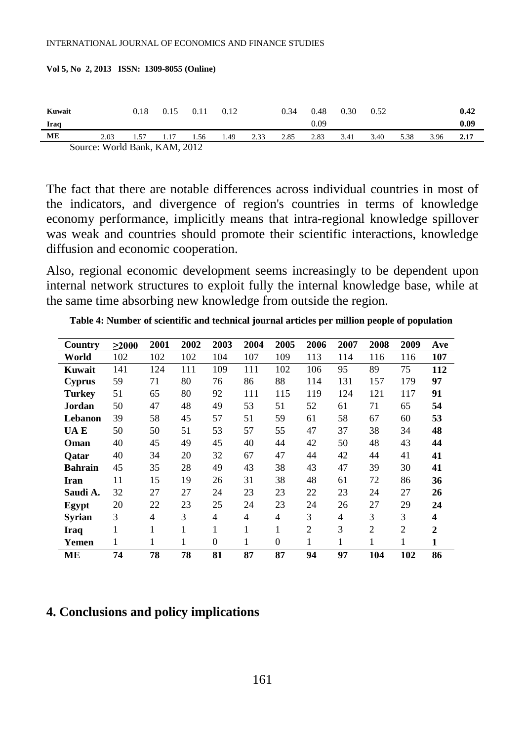| Kuwait |                                                                       |      | 0.18 | 0.15 | 0.11 | 0.12 |      | 0.34 | 0.48 | 0.30 | 0.52 |      |      | 0.42 |
|--------|-----------------------------------------------------------------------|------|------|------|------|------|------|------|------|------|------|------|------|------|
| Iraq   |                                                                       |      |      |      |      |      |      |      | 0.09 |      |      |      |      | 0.09 |
| ME     |                                                                       | 2.03 | 1.57 | 1.17 | 1.56 | 1.49 | 2.33 | 2.85 | 2.83 | 3.41 | 3.40 | 5.38 | 3.96 | 2.17 |
|        | $R_{\text{max}}$ , W <sub>1</sub> , 11 D <sub>2</sub> , 1, 17 AM 2012 |      |      |      |      |      |      |      |      |      |      |      |      |      |

| Vol 5, No 2, 2013   ISSN:  1309-8055 (Online) |  |  |  |
|-----------------------------------------------|--|--|--|
|-----------------------------------------------|--|--|--|

Source: World Bank, KAM, 2012

The fact that there are notable differences across individual countries in most of the indicators, and divergence of region's countries in terms of knowledge economy performance, implicitly means that intra-regional knowledge spillover was weak and countries should promote their scientific interactions, knowledge diffusion and economic cooperation.

Also, regional economic development seems increasingly to be dependent upon internal network structures to exploit fully the internal knowledge base, while at the same time absorbing new knowledge from outside the region.

| Country        | >2000 | 2001           | 2002 | 2003           | 2004           | 2005           | 2006          | 2007           | 2008           | 2009           | Ave          |
|----------------|-------|----------------|------|----------------|----------------|----------------|---------------|----------------|----------------|----------------|--------------|
| World          | 102   | 102            | 102  | 104            | 107            | 109            | 113           | 114            | 116            | 116            | 107          |
| Kuwait         | 141   | 124            | 111  | 109            | 111            | 102            | 106           | 95             | 89             | 75             | 112          |
| <b>Cyprus</b>  | 59    | 71             | 80   | 76             | 86             | 88             | 114           | 131            | 157            | 179            | 97           |
| Turkev         | 51    | 65             | 80   | 92             | 111            | 115            | 119           | 124            | 121            | 117            | 91           |
| Jordan         | 50    | 47             | 48   | 49             | 53             | 51             | 52            | 61             | 71             | 65             | 54           |
| Lebanon        | 39    | 58             | 45   | 57             | 51             | 59             | 61            | 58             | 67             | 60             | 53           |
| UA E           | 50    | 50             | 51   | 53             | 57             | 55             | 47            | 37             | 38             | 34             | 48           |
| Oman           | 40    | 45             | 49   | 45             | 40             | 44             | 42            | 50             | 48             | 43             | 44           |
| <b>Oatar</b>   | 40    | 34             | 20   | 32             | 67             | 47             | 44            | 42             | 44             | 41             | 41           |
| <b>Bahrain</b> | 45    | 35             | 28   | 49             | 43             | 38             | 43            | 47             | 39             | 30             | 41           |
| Iran           | 11    | 15             | 19   | 26             | 31             | 38             | 48            | 61             | 72             | 86             | 36           |
| Saudi A.       | 32    | 27             | 27   | 24             | 23             | 23             | 22            | 23             | 24             | 27             | 26           |
| Egypt          | 20    | 22             | 23   | 25             | 24             | 23             | 24            | 26             | 27             | 29             | 24           |
| Svrian         | 3     | $\overline{4}$ | 3    | $\overline{4}$ | $\overline{4}$ | $\overline{4}$ | 3             | $\overline{4}$ | 3              | 3              | 4            |
| Iraq           | 1     | 1              | 1    | 1              | 1              | 1              | $\mathcal{L}$ | 3              | $\overline{2}$ | $\overline{c}$ | $\mathbf{2}$ |
| Yemen          | 1     | 1              | 1    | $\Omega$       | 1              | $\theta$       | 1             | 1              |                | 1              | $\mathbf{1}$ |
| MЕ             | 74    | 78             | 78   | 81             | 87             | 87             | 94            | 97             | 104            | 102            | 86           |

**Table 4: Number of scientific and technical journal articles per million people of population** 

#### **4. Conclusions and policy implications**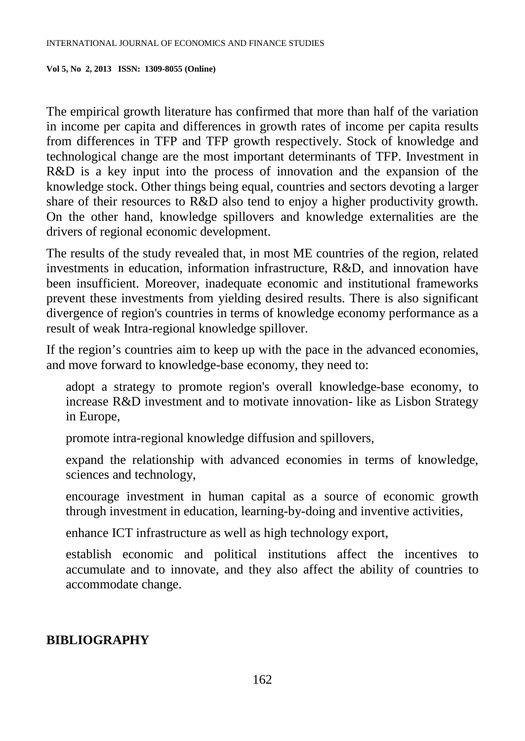The empirical growth literature has confirmed that more than half of the variation in income per capita and differences in growth rates of income per capita results from differences in TFP and TFP growth respectively. Stock of knowledge and technological change are the most important determinants of TFP. Investment in R&D is a key input into the process of innovation and the expansion of the knowledge stock. Other things being equal, countries and sectors devoting a larger share of their resources to R&D also tend to enjoy a higher productivity growth. On the other hand, knowledge spillovers and knowledge externalities are the drivers of regional economic development.

The results of the study revealed that, in most ME countries of the region, related investments in education, information infrastructure, R&D, and innovation have been insufficient. Moreover, inadequate economic and institutional frameworks prevent these investments from yielding desired results. There is also significant divergence of region's countries in terms of knowledge economy performance as a result of weak Intra-regional knowledge spillover.

If the region's countries aim to keep up with the pace in the advanced economies, and move forward to knowledge-base economy, they need to:

adopt a strategy to promote region's overall knowledge-base economy, to increase R&D investment and to motivate innovation- like as Lisbon Strategy in Europe,

promote intra-regional knowledge diffusion and spillovers,

expand the relationship with advanced economies in terms of knowledge, sciences and technology,

encourage investment in human capital as a source of economic growth through investment in education, learning-by-doing and inventive activities,

enhance ICT infrastructure as well as high technology export,

establish economic and political institutions affect the incentives to accumulate and to innovate, and they also affect the ability of countries to accommodate change.

# **BIBLIOGRAPHY**